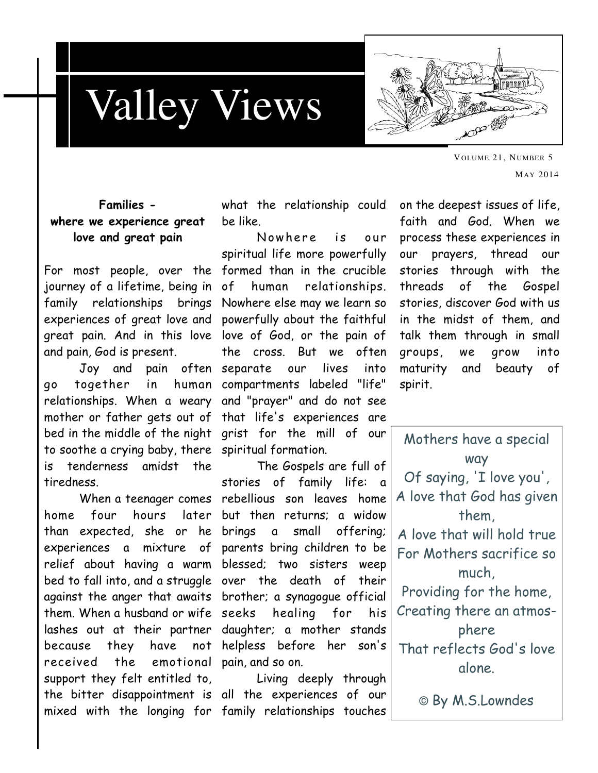

## Families where we experience great love and great pain

For most people, over the formed than in the crucible experiences of great love and powerfully about the faithful great pain. And in this love love of God, or the pain of and pain, God is present.

 Joy and pain often separate our lives into go together in human compartments labeled "life" relationships. When a weary and "prayer" and do not see mother or father gets out of that life's experiences are bed in the middle of the night grist for the mill of our to soothe a crying baby, there spiritual formation. is tenderness amidst the tiredness.

 When a teenager comes rebellious son leaves home home four hours later but then returns; a widow than expected, she or he brings a small offering; experiences a mixture of parents bring children to be relief about having a warm blessed; two sisters weep bed to fall into, and a struggle over the death of their against the anger that awaits brother; a synagogue official them. When a husband or wife lashes out at their partner daughter; a mother stands because they have not helpless before her son's received the emotional pain, and so on. support they felt entitled to, Living deeply through the bitter disappointment is all the experiences of our

what the relationship could be like.

journey of a lifetime, being in of human relationships. family relationships brings Nowhere else may we learn so Nowhere is our spiritual life more powerfully the cross. But we often

> The Gospels are full of stories of family life: a healing for his

mixed with the longing for family relationships touches

on the deepest issues of life, faith and God. When we process these experiences in our prayers, thread our stories through with the threads of the Gospel stories, discover God with us in the midst of them, and talk them through in small groups, we grow into maturity and beauty of spirit.

| Mothers have a special     |
|----------------------------|
| way                        |
| Of saying, 'I love you',   |
| A love that God has given  |
| them,                      |
| A love that will hold true |
| For Mothers sacrifice so   |
| much.                      |
| Providing for the home,    |
| Creating there an atmos-   |
| phere                      |
| That reflects God's love   |
| alone.                     |
|                            |

© By M.S.Lowndes

VOLUME 21, NUMBER 5 MAY 2014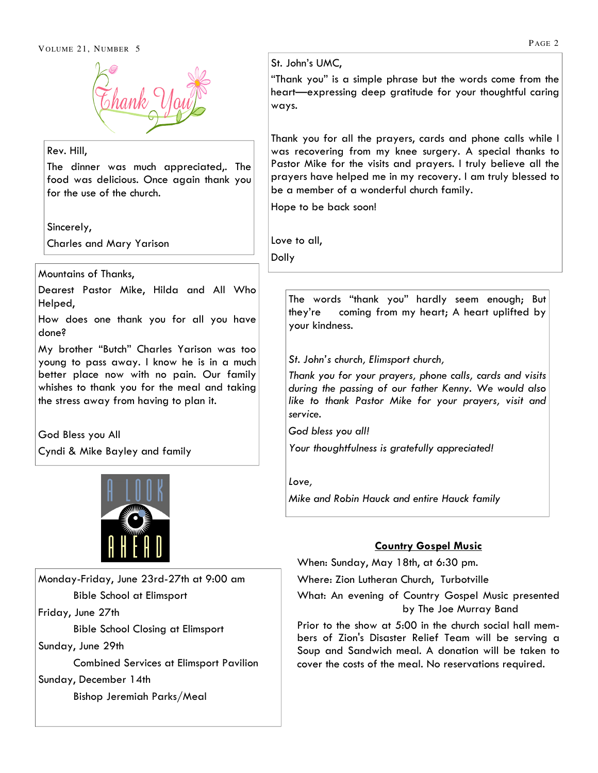

#### Rev. Hill,

The dinner was much appreciated,. The food was delicious. Once again thank you for the use of the church.

Sincerely,

Charles and Mary Yarison

Mountains of Thanks,

Dearest Pastor Mike, Hilda and All Who Helped,

How does one thank you for all you have done?

My brother "Butch" Charles Yarison was too young to pass away. I know he is in a much better place now with no pain. Our family whishes to thank you for the meal and taking the stress away from having to plan it.

God Bless you All

Friday, June 27th

Sunday, June 29th

Sunday, December 14th

Cyndi & Mike Bayley and family



Monday-Friday, June 23rd-27th at 9:00 am

Bible School Closing at Elimsport

Bishop Jeremiah Parks/Meal

Combined Services at Elimsport Pavilion

Bible School at Elimsport

#### St. John's UMC,

"Thank you" is a simple phrase but the words come from the heart—expressing deep gratitude for your thoughtful caring ways.

Thank you for all the prayers, cards and phone calls while I was recovering from my knee surgery. A special thanks to Pastor Mike for the visits and prayers. I truly believe all the prayers have helped me in my recovery. I am truly blessed to be a member of a wonderful church family.

Hope to be back soon!

Love to all,

Dolly

The words "thank you" hardly seem enough; But they're coming from my heart; A heart uplifted by your kindness.

#### St. John's church, Elimsport church,

Thank you for your prayers, phone calls, cards and visits during the passing of our father Kenny. We would also like to thank Pastor Mike for your prayers, visit and service.

God bless you all!

Your thoughtfulness is gratefully appreciated!

Love,

Mike and Robin Hauck and entire Hauck family

## Country Gospel Music

When: Sunday, May 18th, at 6:30 pm.

Where: Zion Lutheran Church, Turbotville

What: An evening of Country Gospel Music presented by The Joe Murray Band

Prior to the show at 5:00 in the church social hall members of Zion's Disaster Relief Team will be serving a Soup and Sandwich meal. A donation will be taken to cover the costs of the meal. No reservations required.